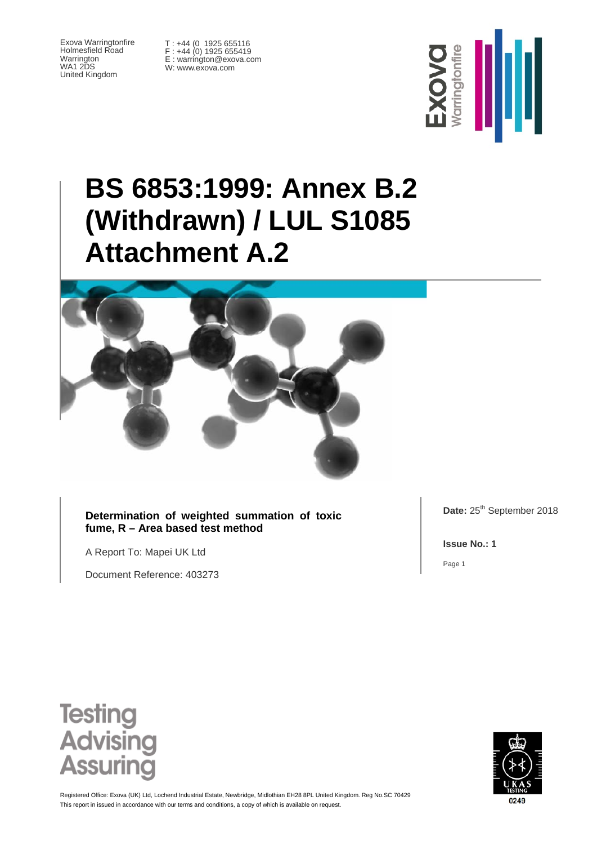Exova Warringtonfire Holmesfield Road Warrington WA1 2DS United Kingdom

T : +44 (0 1925 655116 F : +44 (0) 1925 655419 E : warrington@exova.com W: www.exova.com



# **BS 6853:1999: Annex B.2 (Withdrawn) / LUL S1085 Attachment A.2**



**Determination of weighted summation of toxic fume, R – Area based test method**

A Report To: Mapei UK Ltd

Document Reference: 403273

Date: 25<sup>th</sup> September 2018

**Issue No.: 1**

Page 1





This report in issued in accordance with our terms and conditions, a copy of which is available on request Registered Office: Exova (UK) Ltd, Lochend Industrial Estate, Newbridge, Midlothian EH28 8PL United Kingdom. Reg No.SC 70429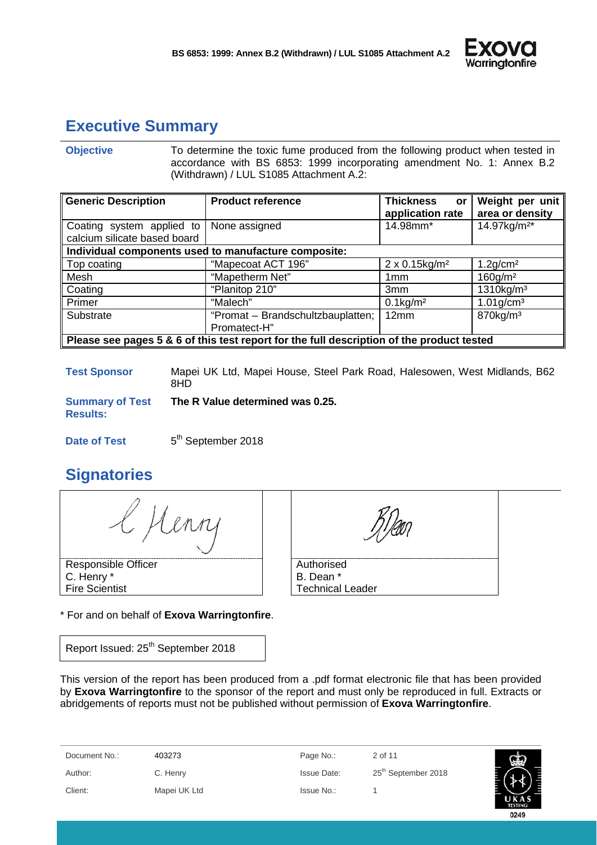

# <span id="page-1-0"></span>**Executive Summary**

**Objective** To determine the toxic fume produced from the following product when tested in accordance with BS 6853: 1999 incorporating amendment No. 1: Annex B.2 (Withdrawn) / LUL S1085 Attachment A.2:

| <b>Generic Description</b>                                                                | <b>Product reference</b>                             | <b>Thickness</b><br>or<br>application rate | Weight per unit<br>area or density |  |
|-------------------------------------------------------------------------------------------|------------------------------------------------------|--------------------------------------------|------------------------------------|--|
| Coating system applied to<br>calcium silicate based board                                 | None assigned                                        | 14.98mm*                                   | 14.97kg/m <sup>2*</sup>            |  |
|                                                                                           | Individual components used to manufacture composite: |                                            |                                    |  |
| Top coating                                                                               | "Mapecoat ACT 196"                                   | 2 x 0.15kg/m <sup>2</sup>                  | $1.2$ g/cm <sup>2</sup>            |  |
| Mesh                                                                                      | "Mapetherm Net"                                      | 1 <sub>mm</sub>                            | $160$ g/m <sup>2</sup>             |  |
| Coating                                                                                   | "Planitop 210"                                       | 3 <sub>mm</sub>                            | $1310$ kg/m <sup>3</sup>           |  |
| Primer                                                                                    | "Malech"                                             | $0.1$ kg/m <sup>2</sup>                    | $1.01$ g/cm <sup>3</sup>           |  |
| Substrate                                                                                 | "Promat - Brandschultzbauplatten;                    | 12mm                                       | 870kg/m <sup>3</sup>               |  |
| Promatect-H"                                                                              |                                                      |                                            |                                    |  |
| Please see pages 5 & 6 of this test report for the full description of the product tested |                                                      |                                            |                                    |  |

**Test Sponsor** Mapei UK Ltd, Mapei House, Steel Park Road, Halesowen, West Midlands, B62 8HD

**Summary of Test Results: The R Value determined was 0.25.**

**Date of Test** 5<sup>th</sup> September 2018

# <span id="page-1-1"></span>**Signatories**

Henn

Responsible Officer C. Henry \* Fire Scientist

**Authorised** 

B. Dean \* Technical Leader

\* For and on behalf of **Exova Warringtonfire**.

Report Issued: 25<sup>th</sup> September 2018

This version of the report has been produced from a .pdf format electronic file that has been provided by **Exova Warringtonfire** to the sponsor of the report and must only be reproduced in full. Extracts or abridgements of reports must not be published without permission of **Exova Warringtonfire**.

Document No.: 403273 Page No.: 2 of 11 Author: C. Henry C. Henry Issue Date: 25<sup>th</sup> September 2018 Client: Mapei UK Ltd Issue No.: 1

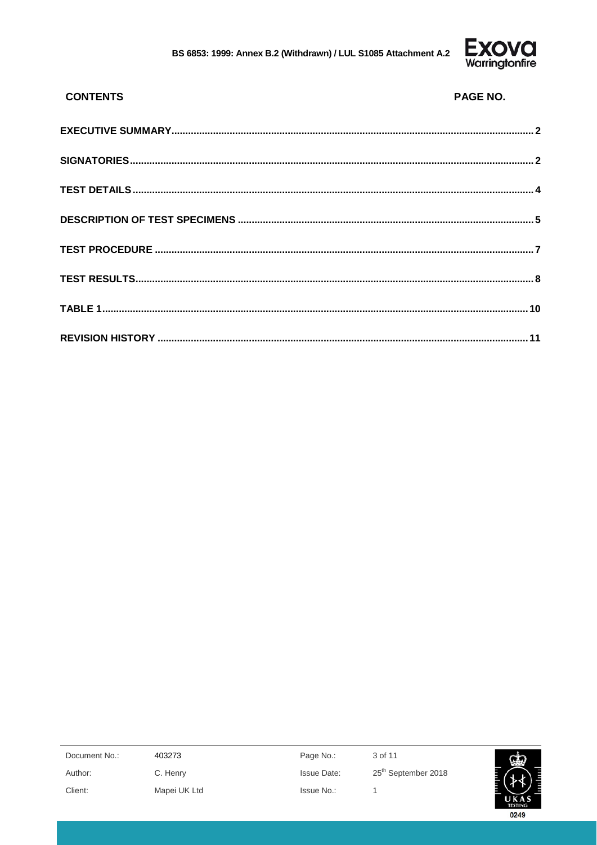

| <b>CONTENTS</b> | <b>PAGE NO.</b> |
|-----------------|-----------------|
|                 |                 |
|                 |                 |
|                 |                 |
|                 |                 |
|                 |                 |
|                 |                 |
|                 |                 |
|                 |                 |

| Document No.: | 403273       | Page No.:          | 3 of 11                         | بطعا           |
|---------------|--------------|--------------------|---------------------------------|----------------|
| Author:       | C. Henry     | <b>Issue Date:</b> | 25 <sup>th</sup> September 2018 |                |
| Client:       | Mapei UK Ltd | Issue No.:         |                                 |                |
|               |              |                    |                                 | <b>TESTING</b> |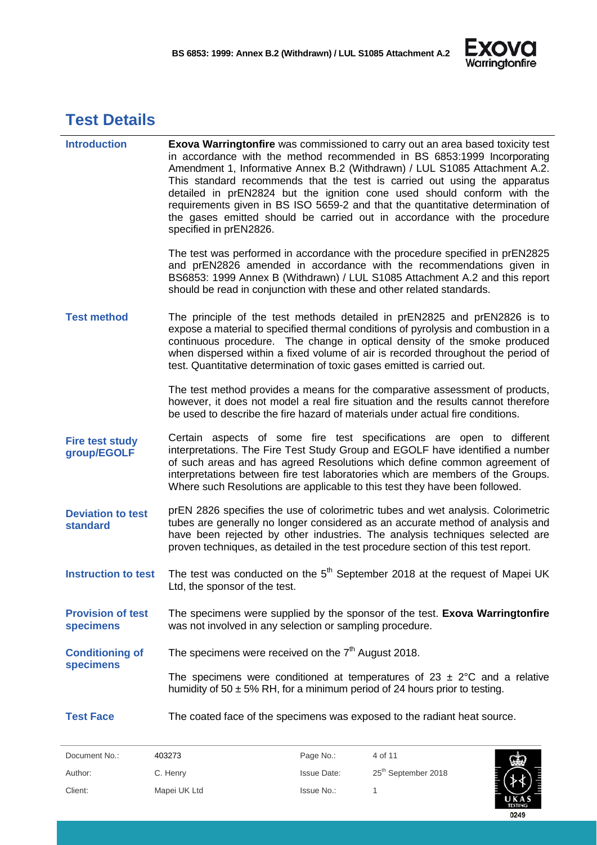

# <span id="page-3-0"></span>**Test Details**

| <b>Introduction</b>                         | <b>Exova Warringtonfire</b> was commissioned to carry out an area based toxicity test<br>in accordance with the method recommended in BS 6853:1999 Incorporating<br>Amendment 1, Informative Annex B.2 (Withdrawn) / LUL S1085 Attachment A.2.<br>This standard recommends that the test is carried out using the apparatus<br>detailed in prEN2824 but the ignition cone used should conform with the<br>requirements given in BS ISO 5659-2 and that the quantitative determination of<br>the gases emitted should be carried out in accordance with the procedure<br>specified in prEN2826. |
|---------------------------------------------|------------------------------------------------------------------------------------------------------------------------------------------------------------------------------------------------------------------------------------------------------------------------------------------------------------------------------------------------------------------------------------------------------------------------------------------------------------------------------------------------------------------------------------------------------------------------------------------------|
|                                             | The test was performed in accordance with the procedure specified in prEN2825<br>and prEN2826 amended in accordance with the recommendations given in<br>BS6853: 1999 Annex B (Withdrawn) / LUL S1085 Attachment A.2 and this report<br>should be read in conjunction with these and other related standards.                                                                                                                                                                                                                                                                                  |
| <b>Test method</b>                          | The principle of the test methods detailed in prEN2825 and prEN2826 is to<br>expose a material to specified thermal conditions of pyrolysis and combustion in a<br>continuous procedure. The change in optical density of the smoke produced<br>when dispersed within a fixed volume of air is recorded throughout the period of<br>test. Quantitative determination of toxic gases emitted is carried out.                                                                                                                                                                                    |
|                                             | The test method provides a means for the comparative assessment of products,<br>however, it does not model a real fire situation and the results cannot therefore<br>be used to describe the fire hazard of materials under actual fire conditions.                                                                                                                                                                                                                                                                                                                                            |
| <b>Fire test study</b><br>group/EGOLF       | Certain aspects of some fire test specifications are open to different<br>interpretations. The Fire Test Study Group and EGOLF have identified a number<br>of such areas and has agreed Resolutions which define common agreement of<br>interpretations between fire test laboratories which are members of the Groups.<br>Where such Resolutions are applicable to this test they have been followed.                                                                                                                                                                                         |
| <b>Deviation to test</b><br><b>standard</b> | prEN 2826 specifies the use of colorimetric tubes and wet analysis. Colorimetric<br>tubes are generally no longer considered as an accurate method of analysis and<br>have been rejected by other industries. The analysis techniques selected are<br>proven techniques, as detailed in the test procedure section of this test report.                                                                                                                                                                                                                                                        |
| <b>Instruction to test</b>                  | The test was conducted on the 5 <sup>th</sup> September 2018 at the request of Mapei UK<br>Ltd, the sponsor of the test.                                                                                                                                                                                                                                                                                                                                                                                                                                                                       |
| <b>Provision of test</b><br>specimens       | The specimens were supplied by the sponsor of the test. Exova Warringtonfire<br>was not involved in any selection or sampling procedure.                                                                                                                                                                                                                                                                                                                                                                                                                                                       |
| <b>Conditioning of</b>                      | The specimens were received on the $7th$ August 2018.                                                                                                                                                                                                                                                                                                                                                                                                                                                                                                                                          |
| specimens                                   | The specimens were conditioned at temperatures of $23 \pm 2^{\circ}C$ and a relative<br>humidity of 50 $\pm$ 5% RH, for a minimum period of 24 hours prior to testing.                                                                                                                                                                                                                                                                                                                                                                                                                         |
| <b>Test Face</b>                            | The coated face of the specimens was exposed to the radiant heat source.                                                                                                                                                                                                                                                                                                                                                                                                                                                                                                                       |

| Document No.: | 403273       | Page No.:          | 4 of 11                         |
|---------------|--------------|--------------------|---------------------------------|
| Author:       | C. Henry     | <b>Issue Date:</b> | 25 <sup>th</sup> September 2018 |
| Client:       | Mapei UK Ltd | Issue No.:         |                                 |

0249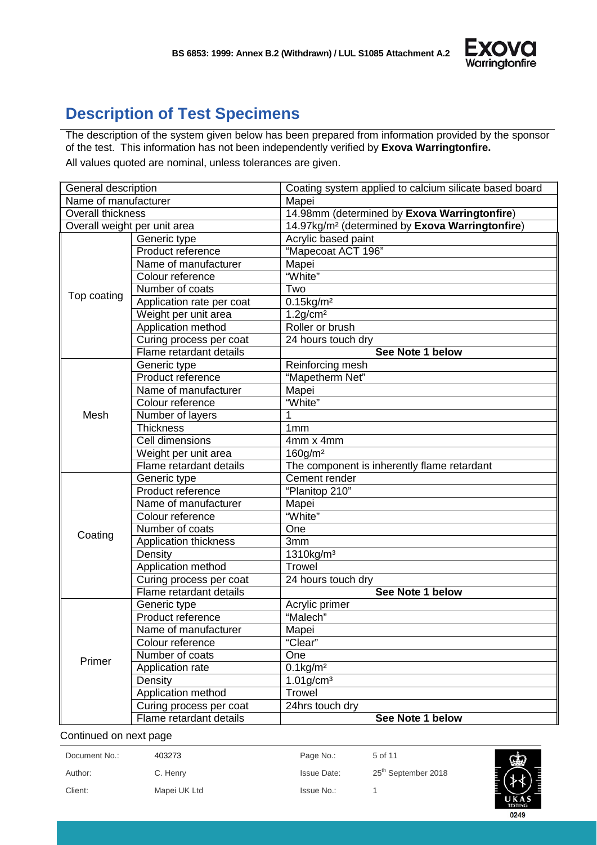

## <span id="page-4-0"></span>**Description of Test Specimens**

The description of the system given below has been prepared from information provided by the sponsor of the test. This information has not been independently verified by **Exova Warringtonfire.** All values quoted are nominal, unless tolerances are given.

| General description           |                           | Coating system applied to calcium silicate based board      |
|-------------------------------|---------------------------|-------------------------------------------------------------|
| Name of manufacturer<br>Mapei |                           |                                                             |
| Overall thickness             |                           | 14.98mm (determined by Exova Warringtonfire)                |
| Overall weight per unit area  |                           | 14.97kg/m <sup>2</sup> (determined by Exova Warringtonfire) |
|                               | Generic type              | Acrylic based paint                                         |
|                               | Product reference         | "Mapecoat ACT 196"                                          |
|                               | Name of manufacturer      | Mapei                                                       |
|                               | Colour reference          | "White"                                                     |
|                               | Number of coats           | Two                                                         |
| Top coating                   | Application rate per coat | $0.15$ kg/m <sup>2</sup>                                    |
|                               | Weight per unit area      | $1.2$ g/cm <sup>2</sup>                                     |
|                               | Application method        | Roller or brush                                             |
|                               | Curing process per coat   | 24 hours touch dry                                          |
|                               | Flame retardant details   | See Note 1 below                                            |
|                               | Generic type              | Reinforcing mesh                                            |
|                               | Product reference         | "Mapetherm Net"                                             |
|                               | Name of manufacturer      | Mapei                                                       |
|                               | Colour reference          | "White"                                                     |
| Mesh                          | Number of layers          |                                                             |
|                               | <b>Thickness</b>          | 1 <sub>mm</sub>                                             |
|                               | Cell dimensions           | 4mm x 4mm                                                   |
|                               | Weight per unit area      | $160$ g/m <sup>2</sup>                                      |
|                               | Flame retardant details   | The component is inherently flame retardant                 |
|                               | Generic type              | Cement render                                               |
|                               | Product reference         | "Planitop 210"                                              |
|                               | Name of manufacturer      | Mapei                                                       |
|                               | Colour reference          | "White"                                                     |
|                               | Number of coats           | One                                                         |
| Coating                       | Application thickness     | 3mm                                                         |
|                               | Density                   | $1310$ kg/m <sup>3</sup>                                    |
|                               | Application method        | <b>Trowel</b>                                               |
|                               | Curing process per coat   | 24 hours touch dry                                          |
|                               | Flame retardant details   | See Note 1 below                                            |
|                               | Generic type              | Acrylic primer                                              |
|                               | Product reference         | "Malech"                                                    |
|                               | Name of manufacturer      | Mapei                                                       |
|                               | Colour reference          | "Clear"                                                     |
| Primer                        | Number of coats           | One                                                         |
|                               | Application rate          | $0.1$ kg/m <sup>2</sup>                                     |
|                               | Density                   | $1.01$ g/cm <sup>3</sup>                                    |
|                               | Application method        | Trowel                                                      |
|                               | Curing process per coat   | 24hrs touch dry                                             |
|                               | Flame retardant details   | See Note 1 below                                            |

Continued on next page

| Document No.: | 403273       | Page No.:          | 5 of 11                         | 凾              |
|---------------|--------------|--------------------|---------------------------------|----------------|
| Author:       | C. Henry     | <b>Issue Date:</b> | 25 <sup>th</sup> September 2018 |                |
| Client:       | Mapei UK Ltd | Issue No.:         |                                 | UKAS           |
|               |              |                    |                                 | <b>TESTING</b> |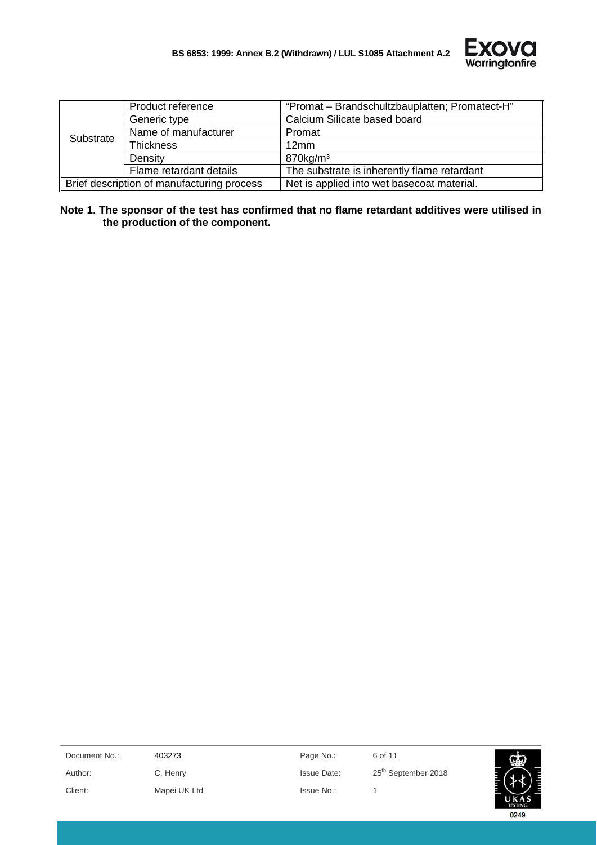

|           | Product reference                          | "Promat - Brandschultzbauplatten; Promatect-H" |
|-----------|--------------------------------------------|------------------------------------------------|
|           | Generic type                               | Calcium Silicate based board                   |
| Substrate | Name of manufacturer                       | Promat                                         |
|           | <b>Thickness</b>                           | 12mm                                           |
|           | Density                                    | $870$ kg/m <sup>3</sup>                        |
|           | Flame retardant details                    | The substrate is inherently flame retardant    |
|           | Brief description of manufacturing process | Net is applied into wet basecoat material.     |

**Note 1. The sponsor of the test has confirmed that no flame retardant additives were utilised in the production of the component.**

| Document No.: | 403273       | Page No.:          | 6 of 11                         | سين                     |
|---------------|--------------|--------------------|---------------------------------|-------------------------|
| Author:       | C. Henry     | <b>Issue Date:</b> | 25 <sup>th</sup> September 2018 |                         |
| Client:       | Mapei UK Ltd | Issue No.:         |                                 |                         |
|               |              |                    |                                 | UKAS<br><b>TESTING:</b> |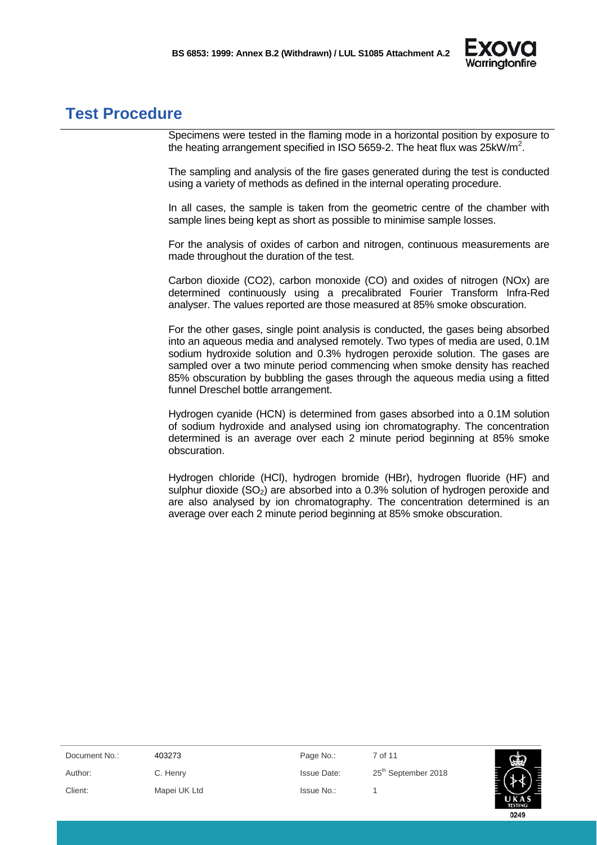

### <span id="page-6-0"></span>**Test Procedure**

Specimens were tested in the flaming mode in a horizontal position by exposure to the heating arrangement specified in ISO 5659-2. The heat flux was 25kW/m<sup>2</sup>.

The sampling and analysis of the fire gases generated during the test is conducted using a variety of methods as defined in the internal operating procedure.

In all cases, the sample is taken from the geometric centre of the chamber with sample lines being kept as short as possible to minimise sample losses.

For the analysis of oxides of carbon and nitrogen, continuous measurements are made throughout the duration of the test.

Carbon dioxide (CO2), carbon monoxide (CO) and oxides of nitrogen (NOx) are determined continuously using a precalibrated Fourier Transform Infra-Red analyser. The values reported are those measured at 85% smoke obscuration.

For the other gases, single point analysis is conducted, the gases being absorbed into an aqueous media and analysed remotely. Two types of media are used, 0.1M sodium hydroxide solution and 0.3% hydrogen peroxide solution. The gases are sampled over a two minute period commencing when smoke density has reached 85% obscuration by bubbling the gases through the aqueous media using a fitted funnel Dreschel bottle arrangement.

Hydrogen cyanide (HCN) is determined from gases absorbed into a 0.1M solution of sodium hydroxide and analysed using ion chromatography. The concentration determined is an average over each 2 minute period beginning at 85% smoke obscuration.

Hydrogen chloride (HCl), hydrogen bromide (HBr), hydrogen fluoride (HF) and sulphur dioxide  $(SO<sub>2</sub>)$  are absorbed into a 0.3% solution of hydrogen peroxide and are also analysed by ion chromatography. The concentration determined is an average over each 2 minute period beginning at 85% smoke obscuration.

| Document No.: | 403273       | Page No.:          | 7 of 11                         | 顾                     |
|---------------|--------------|--------------------|---------------------------------|-----------------------|
| Author:       | C. Henry     | <b>Issue Date:</b> | 25 <sup>th</sup> September 2018 |                       |
| Client:       | Mapei UK Ltd | Issue No.:         |                                 |                       |
|               |              |                    |                                 | UKA<br><b>TESTING</b> |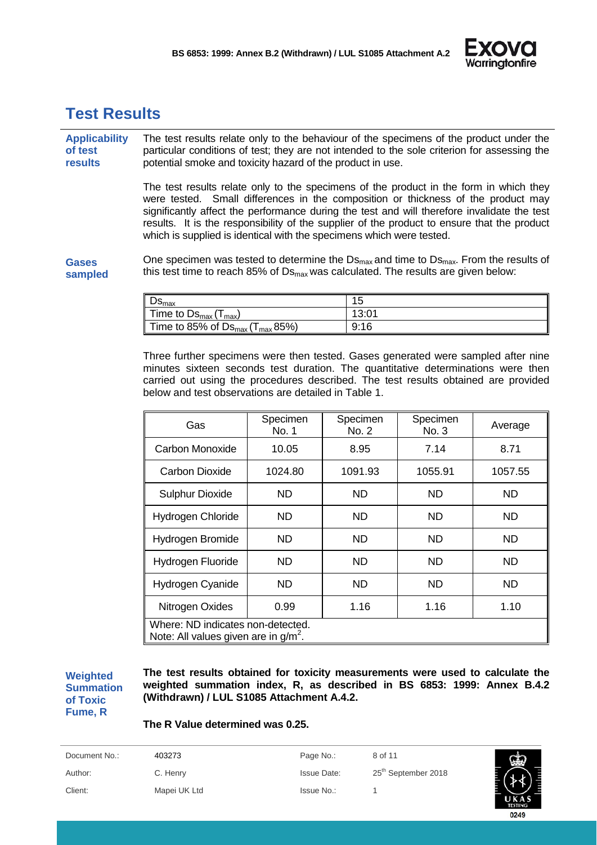

## <span id="page-7-0"></span>**Test Results**

**Applicability of test results** The test results relate only to the behaviour of the specimens of the product under the particular conditions of test; they are not intended to the sole criterion for assessing the potential smoke and toxicity hazard of the product in use.

> The test results relate only to the specimens of the product in the form in which they were tested. Small differences in the composition or thickness of the product may significantly affect the performance during the test and will therefore invalidate the test results. It is the responsibility of the supplier of the product to ensure that the product which is supplied is identical with the specimens which were tested.

**Gases sampled** One specimen was tested to determine the  $DS_{\text{max}}$  and time to  $DS_{\text{max}}$ . From the results of this test time to reach 85% of  $DS_{max}$  was calculated. The results are given below:

| De.<br>א‱⊏                                          | ィベ<br>◡ |
|-----------------------------------------------------|---------|
| Time to $DS_{\text{max}}$ (<br>max)                 | 13:01   |
| Time to 85% of $DS_{\text{max}}(T_{\text{max}}85%)$ | 9:16    |

Three further specimens were then tested. Gases generated were sampled after nine minutes sixteen seconds test duration. The quantitative determinations were then carried out using the procedures described. The test results obtained are provided below and test observations are detailed in Table 1.

| Gas                                                                          | Specimen<br>No. 1 | Specimen<br>No. 2 | Specimen<br>No. 3 | Average   |
|------------------------------------------------------------------------------|-------------------|-------------------|-------------------|-----------|
| Carbon Monoxide                                                              | 10.05             | 8.95              | 7.14              | 8.71      |
| Carbon Dioxide                                                               | 1024.80           | 1091.93           | 1055.91           | 1057.55   |
| <b>Sulphur Dioxide</b>                                                       | ND                | <b>ND</b>         | <b>ND</b>         | <b>ND</b> |
| Hydrogen Chloride                                                            | ND.               | ND                | <b>ND</b>         | <b>ND</b> |
| Hydrogen Bromide                                                             | ND                | <b>ND</b>         | <b>ND</b>         | <b>ND</b> |
| Hydrogen Fluoride                                                            | ND                | ND.               | <b>ND</b>         | ND.       |
| Hydrogen Cyanide                                                             | ND.               | ND.               | <b>ND</b>         | ND.       |
| Nitrogen Oxides                                                              | 0.99              | 1.16              | 1.16              | 1.10      |
| Where: ND indicates non-detected.<br>Note: All values given are in $g/m^2$ . |                   |                   |                   |           |

**Weighted Summation of Toxic Fume, R**

**The test results obtained for toxicity measurements were used to calculate the weighted summation index, R, as described in BS 6853: 1999: Annex B.4.2 (Withdrawn) / LUL S1085 Attachment A.4.2.**

#### **The R Value determined was 0.25.**

| Document No.: | 403273       | Page No.:          | 8 of 11                         |                |
|---------------|--------------|--------------------|---------------------------------|----------------|
| Author:       | C. Henry     | <b>Issue Date:</b> | 25 <sup>th</sup> September 2018 |                |
| Client:       | Mapei UK Ltd | Issue No.:         |                                 | <b>TESTING</b> |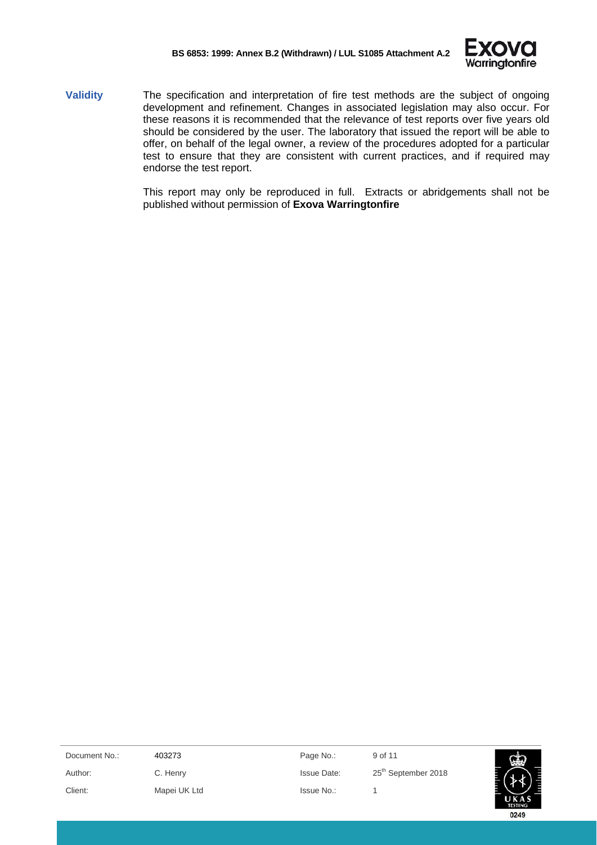

**Validity** The specification and interpretation of fire test methods are the subject of ongoing development and refinement. Changes in associated legislation may also occur. For these reasons it is recommended that the relevance of test reports over five years old should be considered by the user. The laboratory that issued the report will be able to offer, on behalf of the legal owner, a review of the procedures adopted for a particular test to ensure that they are consistent with current practices, and if required may endorse the test report.

> This report may only be reproduced in full. Extracts or abridgements shall not be published without permission of **Exova Warringtonfire**

| Document No.: | 403273       | Page No.:          | 9 of 11                         |  |
|---------------|--------------|--------------------|---------------------------------|--|
| Author:       | C. Henry     | <b>Issue Date:</b> | 25 <sup>th</sup> September 2018 |  |
| Client:       | Mapei UK Ltd | Issue No.:         |                                 |  |
|               |              |                    |                                 |  |

0249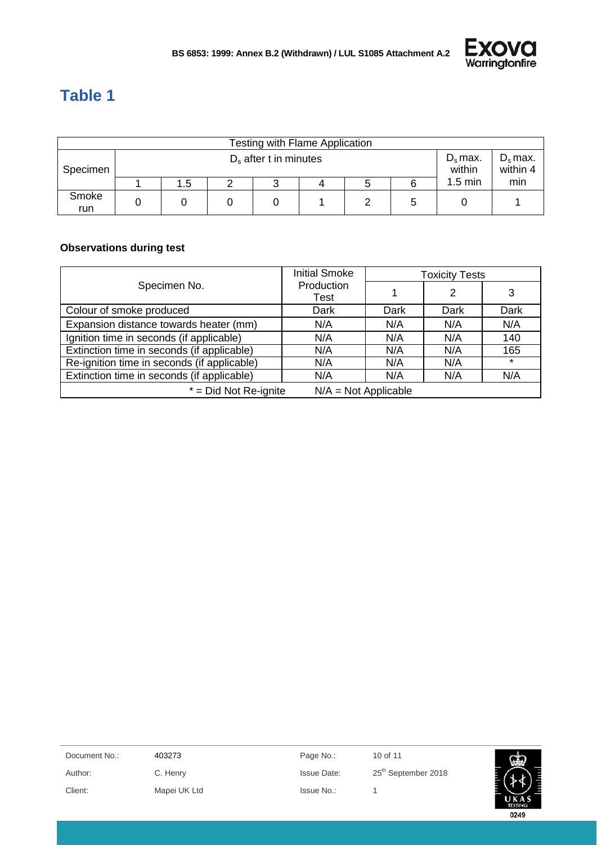

# <span id="page-9-0"></span>**Table 1**

|              | Testing with Flame Application                   |     |  |  |                        |  |   |                   |     |
|--------------|--------------------------------------------------|-----|--|--|------------------------|--|---|-------------------|-----|
| Specimen     | $D_s$ max.<br>within<br>$D_s$ after t in minutes |     |  |  | $D_s$ max.<br>within 4 |  |   |                   |     |
|              |                                                  | 1.5 |  |  |                        |  |   | $1.5 \text{ min}$ | min |
| Smoke<br>run |                                                  |     |  |  |                        |  | 5 |                   |     |

#### **Observations during test**

|                                             | <b>Initial Smoke</b>   | <b>Toxicity Tests</b> |      |         |  |
|---------------------------------------------|------------------------|-----------------------|------|---------|--|
| Specimen No.                                | Production<br>Test     |                       | 2    | 3       |  |
| Colour of smoke produced                    | Dark                   | Dark                  | Dark | Dark    |  |
| Expansion distance towards heater (mm)      | N/A                    | N/A                   | N/A  | N/A     |  |
| Ignition time in seconds (if applicable)    | N/A                    | N/A                   | N/A  | 140     |  |
| Extinction time in seconds (if applicable)  | N/A                    | N/A                   | N/A  | 165     |  |
| Re-ignition time in seconds (if applicable) | N/A                    | N/A                   | N/A  | $\star$ |  |
| Extinction time in seconds (if applicable)  | N/A                    | N/A                   | N/A  | N/A     |  |
| $*$ = Did Not Re-ignite                     | $N/A = Not Applicable$ |                       |      |         |  |

| Document No.: | 403273       | Page No.:          | 10 of 11                        | 幽              |
|---------------|--------------|--------------------|---------------------------------|----------------|
| Author:       | C. Henry     | <b>Issue Date:</b> | 25 <sup>th</sup> September 2018 |                |
| Client:       | Mapei UK Ltd | Issue No.:         |                                 |                |
|               |              |                    |                                 | <b>TESTING</b> |